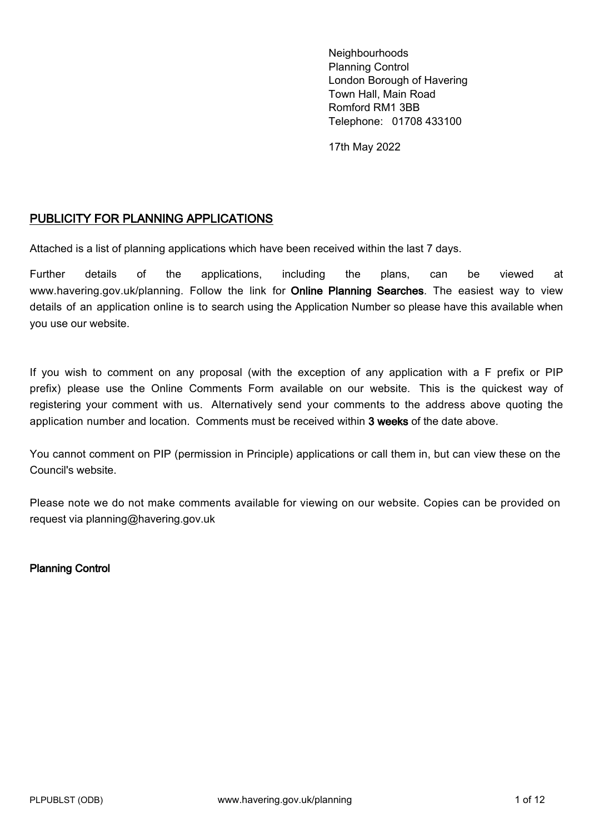Neighbourhoods Planning Control London Borough of Havering Town Hall, Main Road Romford RM1 3BB Telephone: 01708 433100

17th May 2022

### PUBLICITY FOR PLANNING APPLICATIONS

Attached is a list of planning applications which have been received within the last 7 days.

Further details of the applications, including the plans, can be viewed at [www.havering.gov.uk/planning.](https://www.havering.gov.uk/planning) Follow the link for **Online Planning Searches**. The easiest way to view details of an application online is to search using the Application Number so please have this available when you use our website.

If you wish to comment on any proposal (with the exception of any application with a F prefix or PIP prefix) please use the Online Comments Form available on our website. This is the quickest way of registering your comment with us. Alternatively send your comments to the address above quoting the application number and location. Comments must be received within 3 weeks of the date above.

You cannot comment on PIP (permission in Principle) applications or call them in, but can view these on the Council's website.

Please note we do not make comments available for viewing on our website. Copies can be provided on request via planning@havering.gov.uk

Planning Control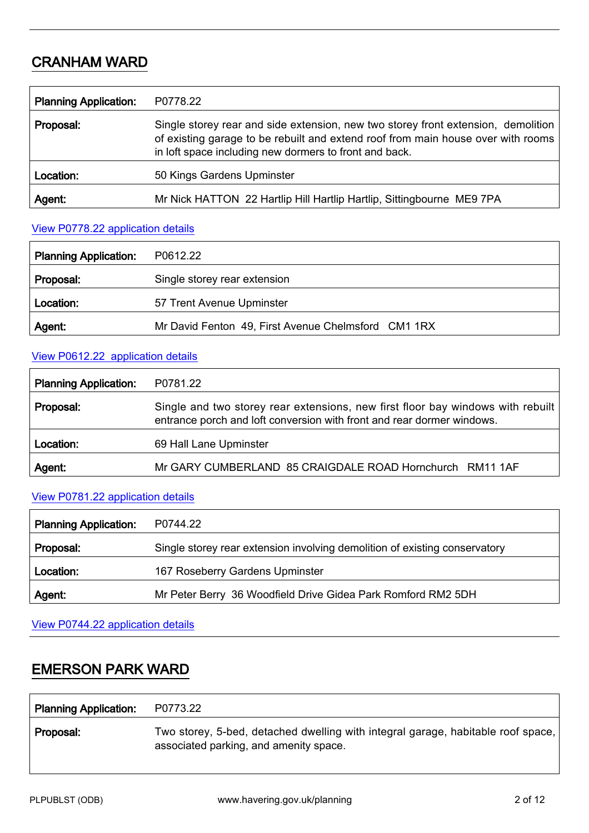# CRANHAM WARD

| <b>Planning Application:</b> | P0778.22                                                                                                                                                                                                                        |
|------------------------------|---------------------------------------------------------------------------------------------------------------------------------------------------------------------------------------------------------------------------------|
| Proposal:                    | Single storey rear and side extension, new two storey front extension, demolition<br>of existing garage to be rebuilt and extend roof from main house over with rooms<br>in loft space including new dormers to front and back. |
| Location:                    | 50 Kings Gardens Upminster                                                                                                                                                                                                      |
| Agent:                       | Mr Nick HATTON 22 Hartlip Hill Hartlip Hartlip, Sittingbourne ME9 7PA                                                                                                                                                           |

#### View P0778.22 [application details](http://development.havering.gov.uk/OcellaWeb/planningDetails?reference=P0778.22&from=planningSearch)

| <b>Planning Application:</b> | P0612.22                                            |
|------------------------------|-----------------------------------------------------|
| Proposal:                    | Single storey rear extension                        |
| Location:                    | 57 Trent Avenue Upminster                           |
| Agent:                       | Mr David Fenton 49, First Avenue Chelmsford CM1 1RX |

### View P0612.22 [application details](http://development.havering.gov.uk/OcellaWeb/planningDetails?reference=P0612.22&from=planningSearch)

| <b>Planning Application:</b> | P0781.22                                                                                                                                                  |
|------------------------------|-----------------------------------------------------------------------------------------------------------------------------------------------------------|
| Proposal:                    | Single and two storey rear extensions, new first floor bay windows with rebuilt<br>entrance porch and loft conversion with front and rear dormer windows. |
| Location:                    | 69 Hall Lane Upminster                                                                                                                                    |
| Agent:                       | Mr GARY CUMBERLAND 85 CRAIGDALE ROAD Hornchurch RM11 1AF                                                                                                  |

## View P0781.22 [application details](http://development.havering.gov.uk/OcellaWeb/planningDetails?reference=P0781.22&from=planningSearch)

| <b>Planning Application:</b> | P0744.22                                                                   |
|------------------------------|----------------------------------------------------------------------------|
| Proposal:                    | Single storey rear extension involving demolition of existing conservatory |
| Location:                    | 167 Roseberry Gardens Upminster                                            |
| Agent.                       | Mr Peter Berry 36 Woodfield Drive Gidea Park Romford RM2 5DH               |

View P0744.22 [application details](http://development.havering.gov.uk/OcellaWeb/planningDetails?reference=P0744.22&from=planningSearch)

# EMERSON PARK WARD

| <b>Planning Application:</b> | P0773.22                                                                                                                   |
|------------------------------|----------------------------------------------------------------------------------------------------------------------------|
| Proposal:                    | Two storey, 5-bed, detached dwelling with integral garage, habitable roof space,<br>associated parking, and amenity space. |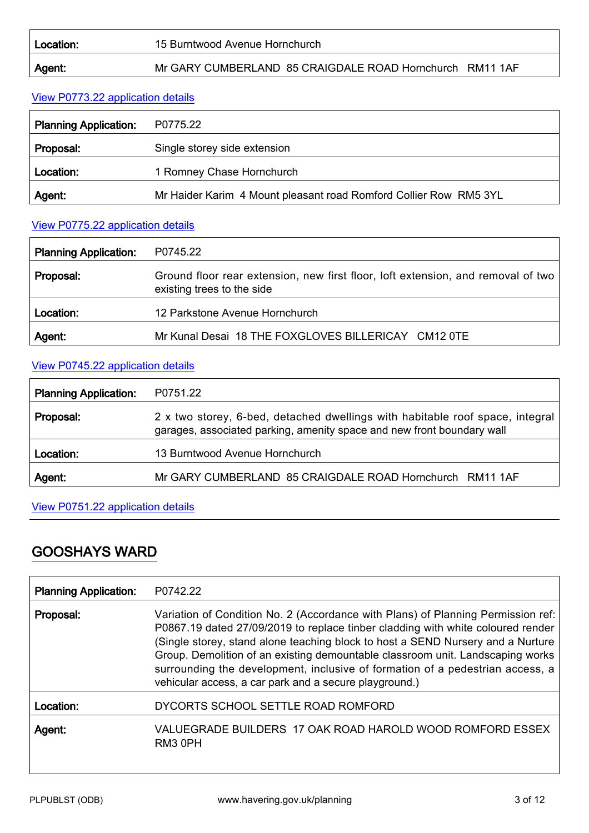#### 15 Burntwood Avenue Hornchurch

#### Agent: Mr GARY CUMBERLAND 85 CRAIGDALE ROAD Hornchurch RM11 1AF

#### View P0773.22 [application details](http://development.havering.gov.uk/OcellaWeb/planningDetails?reference=P0773.22&from=planningSearch)

| <b>Planning Application:</b> | P0775.22                                                          |
|------------------------------|-------------------------------------------------------------------|
| Proposal:                    | Single storey side extension                                      |
| Location:                    | 1 Romney Chase Hornchurch                                         |
| Agent.                       | Mr Haider Karim 4 Mount pleasant road Romford Collier Row RM5 3YL |

### View P0775.22 [application details](http://development.havering.gov.uk/OcellaWeb/planningDetails?reference=P0775.22&from=planningSearch)

| <b>Planning Application:</b> | P0745.22                                                                                                       |
|------------------------------|----------------------------------------------------------------------------------------------------------------|
| Proposal:                    | Ground floor rear extension, new first floor, loft extension, and removal of two<br>existing trees to the side |
| Location:                    | 12 Parkstone Avenue Hornchurch                                                                                 |
| Agent:                       | Mr Kunal Desai 18 THE FOXGLOVES BILLERICAY CM12 0TE                                                            |

## View P0745.22 [application details](http://development.havering.gov.uk/OcellaWeb/planningDetails?reference=P0745.22&from=planningSearch)

| <b>Planning Application:</b> | P0751.22                                                                                                                                                |
|------------------------------|---------------------------------------------------------------------------------------------------------------------------------------------------------|
| Proposal:                    | 2 x two storey, 6-bed, detached dwellings with habitable roof space, integral<br>garages, associated parking, amenity space and new front boundary wall |
| Location:                    | 13 Burntwood Avenue Hornchurch                                                                                                                          |
| Agent:                       | Mr GARY CUMBERLAND 85 CRAIGDALE ROAD Hornchurch RM11 1AF                                                                                                |

#### View P0751.22 [application details](http://development.havering.gov.uk/OcellaWeb/planningDetails?reference=P0751.22&from=planningSearch)

# GOOSHAYS WARD

| <b>Planning Application:</b> | P0742.22                                                                                                                                                                                                                                                                                                                                                                                                                                                                            |
|------------------------------|-------------------------------------------------------------------------------------------------------------------------------------------------------------------------------------------------------------------------------------------------------------------------------------------------------------------------------------------------------------------------------------------------------------------------------------------------------------------------------------|
| Proposal:                    | Variation of Condition No. 2 (Accordance with Plans) of Planning Permission ref:<br>P0867.19 dated 27/09/2019 to replace tinber cladding with white coloured render<br>(Single storey, stand alone teaching block to host a SEND Nursery and a Nurture<br>Group. Demolition of an existing demountable classroom unit. Landscaping works<br>surrounding the development, inclusive of formation of a pedestrian access, a<br>vehicular access, a car park and a secure playground.) |
| Location:                    | DYCORTS SCHOOL SETTLE ROAD ROMFORD                                                                                                                                                                                                                                                                                                                                                                                                                                                  |
| Agent:                       | VALUEGRADE BUILDERS 17 OAK ROAD HAROLD WOOD ROMFORD ESSEX<br>RM3 0PH                                                                                                                                                                                                                                                                                                                                                                                                                |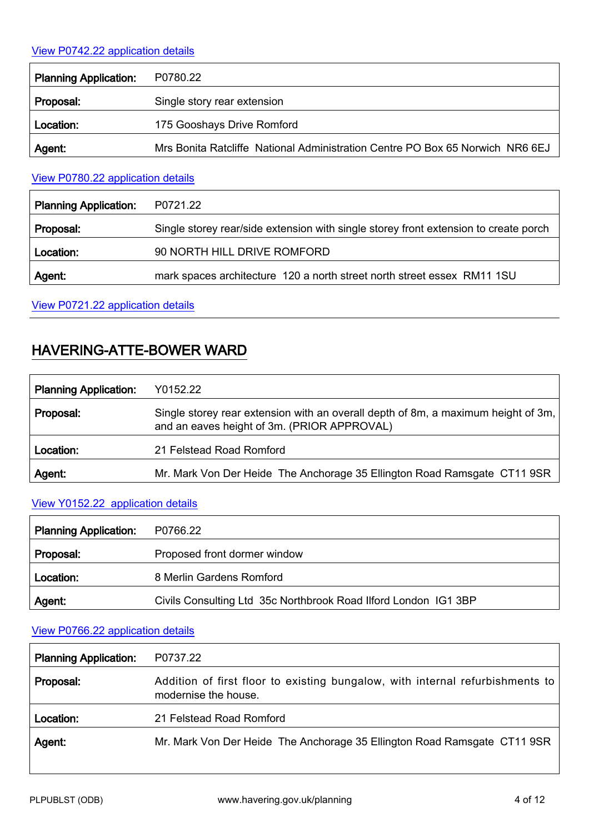## View P0742.22 [application details](http://development.havering.gov.uk/OcellaWeb/planningDetails?reference=P0742.22&from=planningSearch)

| <b>Planning Application:</b> | P0780.22                                                                      |
|------------------------------|-------------------------------------------------------------------------------|
| Proposal:                    | Single story rear extension                                                   |
| Location:                    | 175 Gooshays Drive Romford                                                    |
| Agent:                       | Mrs Bonita Ratcliffe National Administration Centre PO Box 65 Norwich NR6 6EJ |

#### View P0780.22 [application details](http://development.havering.gov.uk/OcellaWeb/planningDetails?reference=P0780.22&from=planningSearch)

| <b>Planning Application:</b> | P0721.22                                                                             |
|------------------------------|--------------------------------------------------------------------------------------|
| Proposal:                    | Single storey rear/side extension with single storey front extension to create porch |
| Location:                    | 90 NORTH HILL DRIVE ROMFORD                                                          |
| Agent:                       | mark spaces architecture 120 a north street north street essex RM11 1SU              |
|                              |                                                                                      |

View P0721.22 [application details](http://development.havering.gov.uk/OcellaWeb/planningDetails?reference=P0721.22&from=planningSearch)

# HAVERING-ATTE-BOWER WARD

| <b>Planning Application:</b> | Y0152.22                                                                                                                         |
|------------------------------|----------------------------------------------------------------------------------------------------------------------------------|
| Proposal:                    | Single storey rear extension with an overall depth of 8m, a maximum height of 3m,<br>and an eaves height of 3m. (PRIOR APPROVAL) |
| Location:                    | 21 Felstead Road Romford                                                                                                         |
| Agent:                       | Mr. Mark Von Der Heide The Anchorage 35 Ellington Road Ramsgate CT11 9SR                                                         |

### View Y0152.22 [application details](http://development.havering.gov.uk/OcellaWeb/planningDetails?reference=Y0152.22&from=planningSearch)

| Planning Application: | P0766.22                                                        |
|-----------------------|-----------------------------------------------------------------|
| Proposal:             | Proposed front dormer window                                    |
| Location:             | 8 Merlin Gardens Romford                                        |
| Agent:                | Civils Consulting Ltd 35c Northbrook Road Ilford London IG1 3BP |

### View P0766.22 [application details](http://development.havering.gov.uk/OcellaWeb/planningDetails?reference=P0766.22&from=planningSearch)

| <b>Planning Application:</b> | P0737.22                                                                                              |
|------------------------------|-------------------------------------------------------------------------------------------------------|
| Proposal:                    | Addition of first floor to existing bungalow, with internal refurbishments to<br>modernise the house. |
| Location:                    | 21 Felstead Road Romford                                                                              |
| Agent:                       | Mr. Mark Von Der Heide The Anchorage 35 Ellington Road Ramsgate CT11 9SR                              |

ı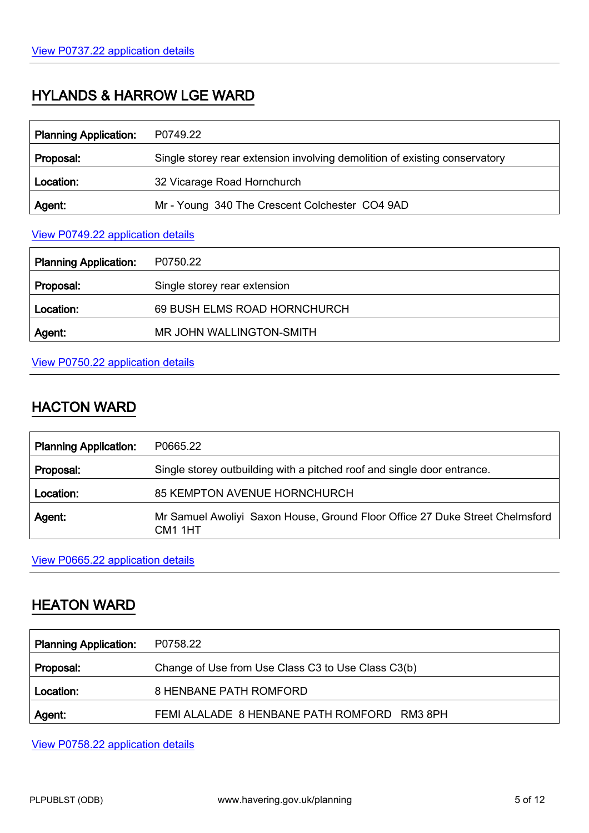# HYLANDS & HARROW LGE WARD

| <b>Planning Application:</b> | P0749.22                                                                   |
|------------------------------|----------------------------------------------------------------------------|
| Proposal:                    | Single storey rear extension involving demolition of existing conservatory |
| Location:                    | 32 Vicarage Road Hornchurch                                                |
| Agent:                       | Mr - Young 340 The Crescent Colchester CO4 9AD                             |

#### View P0749.22 [application details](http://development.havering.gov.uk/OcellaWeb/planningDetails?reference=P0749.22&from=planningSearch)

| <b>Planning Application:</b> | P0750.22                     |
|------------------------------|------------------------------|
| Proposal:                    | Single storey rear extension |
| Location:                    | 69 BUSH ELMS ROAD HORNCHURCH |
| Agent:                       | MR JOHN WALLINGTON-SMITH     |

### View P0750.22 [application details](http://development.havering.gov.uk/OcellaWeb/planningDetails?reference=P0750.22&from=planningSearch)

# HACTON WARD

| <b>Planning Application:</b> | P0665.22                                                                                |
|------------------------------|-----------------------------------------------------------------------------------------|
| Proposal:                    | Single storey outbuilding with a pitched roof and single door entrance.                 |
| Location:                    | <b>85 KEMPTON AVENUE HORNCHURCH</b>                                                     |
| Agent.                       | Mr Samuel Awoliyi Saxon House, Ground Floor Office 27 Duke Street Chelmsford<br>CM1 1HT |

View P0665.22 [application details](http://development.havering.gov.uk/OcellaWeb/planningDetails?reference=P0665.22&from=planningSearch)

# HEATON WARD

| <b>Planning Application:</b> | P0758.22                                           |
|------------------------------|----------------------------------------------------|
| Proposal:                    | Change of Use from Use Class C3 to Use Class C3(b) |
| Location:                    | 8 HENBANE PATH ROMFORD                             |
| Agent:                       | FEMI ALALADE 8 HENBANE PATH ROMFORD RM3 8PH        |

View P0758.22 [application details](http://development.havering.gov.uk/OcellaWeb/planningDetails?reference=P0758.22&from=planningSearch)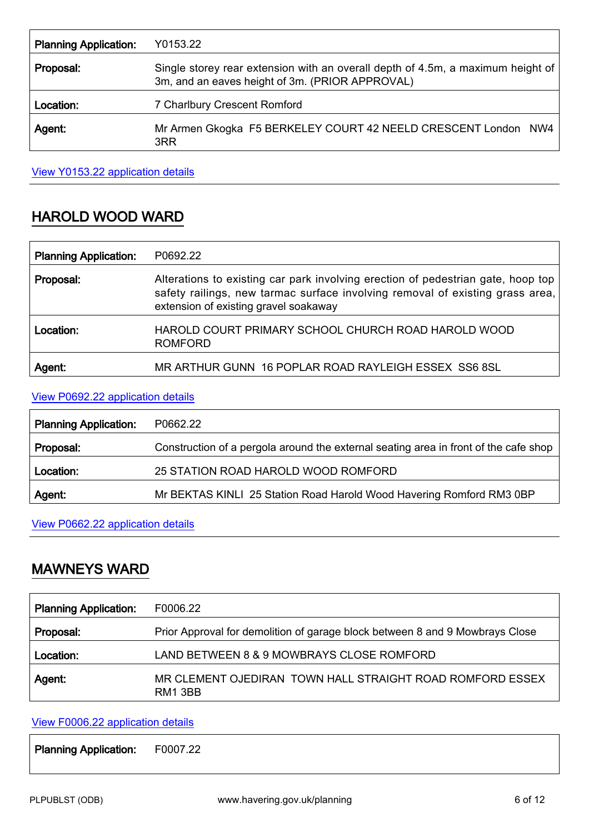| <b>Planning Application:</b> | Y0153.22                                                                                                                           |
|------------------------------|------------------------------------------------------------------------------------------------------------------------------------|
| Proposal:                    | Single storey rear extension with an overall depth of 4.5m, a maximum height of<br>3m, and an eaves height of 3m. (PRIOR APPROVAL) |
| Location:                    | 7 Charlbury Crescent Romford                                                                                                       |
| Agent.                       | Mr Armen Gkogka F5 BERKELEY COURT 42 NEELD CRESCENT London NW4<br>3RR                                                              |

View Y0153.22 [application details](http://development.havering.gov.uk/OcellaWeb/planningDetails?reference=Y0153.22&from=planningSearch)

# HAROLD WOOD WARD

| <b>Planning Application:</b> | P0692.22                                                                                                                                                                                                   |
|------------------------------|------------------------------------------------------------------------------------------------------------------------------------------------------------------------------------------------------------|
| Proposal:                    | Alterations to existing car park involving erection of pedestrian gate, hoop top<br>safety railings, new tarmac surface involving removal of existing grass area,<br>extension of existing gravel soakaway |
| Location:                    | HAROLD COURT PRIMARY SCHOOL CHURCH ROAD HAROLD WOOD<br><b>ROMFORD</b>                                                                                                                                      |
| Agent:                       | MR ARTHUR GUNN 16 POPLAR ROAD RAYLEIGH ESSEX SS6 8SL                                                                                                                                                       |

## View P0692.22 [application details](http://development.havering.gov.uk/OcellaWeb/planningDetails?reference=P0692.22&from=planningSearch)

| <b>Planning Application:</b> | P0662.22                                                                             |
|------------------------------|--------------------------------------------------------------------------------------|
| Proposal:                    | Construction of a pergola around the external seating area in front of the cafe shop |
| Location:                    | 25 STATION ROAD HAROLD WOOD ROMFORD                                                  |
| Agent:                       | Mr BEKTAS KINLI 25 Station Road Harold Wood Havering Romford RM3 0BP                 |

### View P0662.22 [application details](http://development.havering.gov.uk/OcellaWeb/planningDetails?reference=P0662.22&from=planningSearch)

## MAWNEYS WARD

| <b>Planning Application:</b> | F0006.22                                                                     |
|------------------------------|------------------------------------------------------------------------------|
| Proposal:                    | Prior Approval for demolition of garage block between 8 and 9 Mowbrays Close |
| Location:                    | LAND BETWEEN 8 & 9 MOWBRAYS CLOSE ROMFORD                                    |
| Agent:                       | MR CLEMENT OJEDIRAN TOWN HALL STRAIGHT ROAD ROMFORD ESSEX<br><b>RM1 3BB</b>  |

## View F0006.22 [application details](http://development.havering.gov.uk/OcellaWeb/planningDetails?reference=F0006.22&from=planningSearch)

Planning Application: F0007.22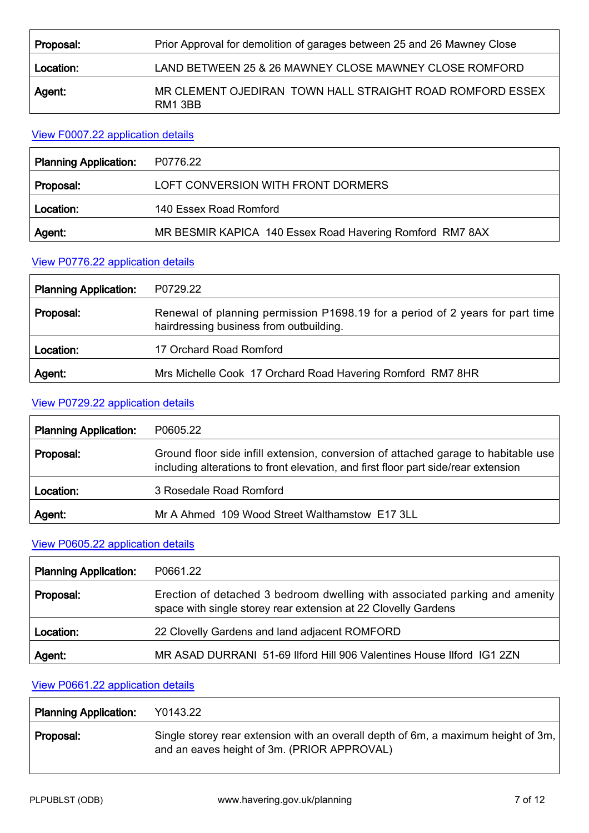| Proposal: | Prior Approval for demolition of garages between 25 and 26 Mawney Close |
|-----------|-------------------------------------------------------------------------|
| Location: | LAND BETWEEN 25 & 26 MAWNEY CLOSE MAWNEY CLOSE ROMFORD                  |
| Agent:    | MR CLEMENT OJEDIRAN TOWN HALL STRAIGHT ROAD ROMFORD ESSEX<br>RM1 3BB    |

#### View F0007.22 [application details](http://development.havering.gov.uk/OcellaWeb/planningDetails?reference=F0007.22&from=planningSearch)

| <b>Planning Application:</b> | P0776.22                                                 |
|------------------------------|----------------------------------------------------------|
| Proposal:                    | LOFT CONVERSION WITH FRONT DORMERS                       |
| Location:                    | 140 Essex Road Romford                                   |
| Agent:                       | MR BESMIR KAPICA 140 Essex Road Havering Romford RM7 8AX |

#### View P0776.22 [application details](http://development.havering.gov.uk/OcellaWeb/planningDetails?reference=P0776.22&from=planningSearch)

| <b>Planning Application:</b> | P0729.22                                                                                                                 |
|------------------------------|--------------------------------------------------------------------------------------------------------------------------|
| Proposal:                    | Renewal of planning permission P1698.19 for a period of 2 years for part time<br>hairdressing business from outbuilding. |
| Location:                    | 17 Orchard Road Romford                                                                                                  |
| Agent:                       | Mrs Michelle Cook 17 Orchard Road Havering Romford RM7 8HR                                                               |

### View P0729.22 [application details](http://development.havering.gov.uk/OcellaWeb/planningDetails?reference=P0729.22&from=planningSearch)

| <b>Planning Application:</b> | P0605.22                                                                                                                                                                 |
|------------------------------|--------------------------------------------------------------------------------------------------------------------------------------------------------------------------|
| Proposal:                    | Ground floor side infill extension, conversion of attached garage to habitable use<br>including alterations to front elevation, and first floor part side/rear extension |
| Location:                    | 3 Rosedale Road Romford                                                                                                                                                  |
| Agent:                       | Mr A Ahmed 109 Wood Street Walthamstow E17 3LL                                                                                                                           |

## View P0605.22 [application details](http://development.havering.gov.uk/OcellaWeb/planningDetails?reference=P0605.22&from=planningSearch)

| <b>Planning Application:</b> | P0661.22                                                                                                                                      |
|------------------------------|-----------------------------------------------------------------------------------------------------------------------------------------------|
| Proposal:                    | Erection of detached 3 bedroom dwelling with associated parking and amenity<br>space with single storey rear extension at 22 Clovelly Gardens |
| Location:                    | 22 Clovelly Gardens and land adjacent ROMFORD                                                                                                 |
| Agent:                       | MR ASAD DURRANI 51-69 Ilford Hill 906 Valentines House Ilford IG1 2ZN                                                                         |

## View P0661.22 [application details](http://development.havering.gov.uk/OcellaWeb/planningDetails?reference=P0661.22&from=planningSearch)

| <b>Planning Application:</b> | Y0143.22                                                                                                                         |
|------------------------------|----------------------------------------------------------------------------------------------------------------------------------|
| Proposal:                    | Single storey rear extension with an overall depth of 6m, a maximum height of 3m,<br>and an eaves height of 3m. (PRIOR APPROVAL) |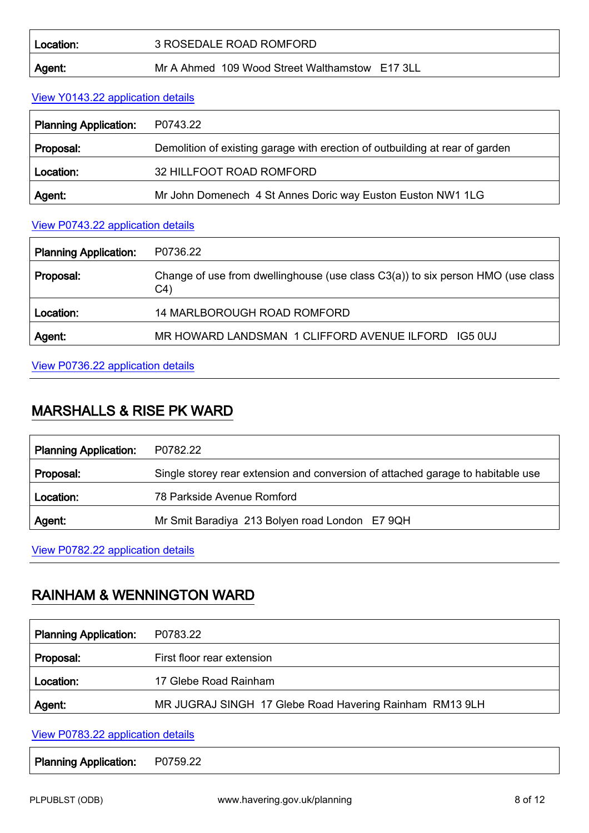| Location:     | 3 ROSEDALE ROAD ROMFORD                        |
|---------------|------------------------------------------------|
| <b>Agent:</b> | Mr A Ahmed 109 Wood Street Walthamstow E17 3LL |

#### View Y0143.22 [application details](http://development.havering.gov.uk/OcellaWeb/planningDetails?reference=Y0143.22&from=planningSearch)

| <b>Planning Application:</b> | P0743.22                                                                     |
|------------------------------|------------------------------------------------------------------------------|
| Proposal:                    | Demolition of existing garage with erection of outbuilding at rear of garden |
| Location:                    | 32 HILLFOOT ROAD ROMFORD                                                     |
| Agent:                       | Mr John Domenech 4 St Annes Doric way Euston Euston NW1 1LG                  |

### View P0743.22 [application details](http://development.havering.gov.uk/OcellaWeb/planningDetails?reference=P0743.22&from=planningSearch)

| <b>Planning Application:</b> | P0736.22                                                                                             |
|------------------------------|------------------------------------------------------------------------------------------------------|
| Proposal:                    | Change of use from dwellinghouse (use class $C3(a)$ ) to six person HMO (use class<br>C <sub>4</sub> |
| Location:                    | <b>14 MARLBOROUGH ROAD ROMFORD</b>                                                                   |
| Agent:                       | MR HOWARD LANDSMAN 1 CLIFFORD AVENUE ILFORD IG5 0UJ                                                  |

## View P0736.22 [application details](http://development.havering.gov.uk/OcellaWeb/planningDetails?reference=P0736.22&from=planningSearch)

## MARSHALLS & RISE PK WARD

| <b>Planning Application:</b> | P0782.22                                                                        |
|------------------------------|---------------------------------------------------------------------------------|
| Proposal:                    | Single storey rear extension and conversion of attached garage to habitable use |
| Location:                    | 78 Parkside Avenue Romford                                                      |
| Agent:                       | Mr Smit Baradiya 213 Bolyen road London E7 9QH                                  |

View P0782.22 [application details](http://development.havering.gov.uk/OcellaWeb/planningDetails?reference=P0782.22&from=planningSearch)

# RAINHAM & WENNINGTON WARD

| P0783.22                                                |
|---------------------------------------------------------|
| First floor rear extension                              |
| 17 Glebe Road Rainham                                   |
| MR JUGRAJ SINGH 17 Glebe Road Havering Rainham RM13 9LH |
|                                                         |

View P0783.22 [application details](http://development.havering.gov.uk/OcellaWeb/planningDetails?reference=P0783.22&from=planningSearch)

Planning Application: P0759.22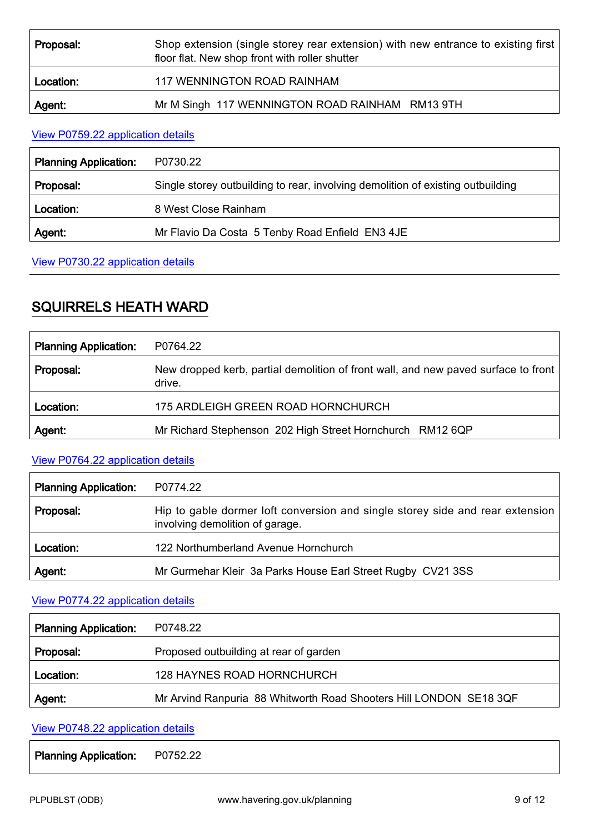| Proposal: | Shop extension (single storey rear extension) with new entrance to existing first<br>floor flat. New shop front with roller shutter |
|-----------|-------------------------------------------------------------------------------------------------------------------------------------|
| Location: | 117 WENNINGTON ROAD RAINHAM                                                                                                         |
| Agent:    | Mr M Singh 117 WENNINGTON ROAD RAINHAM RM13 9TH                                                                                     |

#### View P0759.22 [application details](http://development.havering.gov.uk/OcellaWeb/planningDetails?reference=P0759.22&from=planningSearch)

| <b>Planning Application:</b> | P0730.22                                                                        |
|------------------------------|---------------------------------------------------------------------------------|
| Proposal:                    | Single storey outbuilding to rear, involving demolition of existing outbuilding |
| Location:                    | 8 West Close Rainham                                                            |
| Agent.                       | Mr Flavio Da Costa 5 Tenby Road Enfield EN3 4JE                                 |

### View P0730.22 [application details](http://development.havering.gov.uk/OcellaWeb/planningDetails?reference=P0730.22&from=planningSearch)

# SQUIRRELS HEATH WARD

| <b>Planning Application:</b> | P0764.22                                                                                     |
|------------------------------|----------------------------------------------------------------------------------------------|
| Proposal:                    | New dropped kerb, partial demolition of front wall, and new paved surface to front<br>drive. |
| Location:                    | 175 ARDLEIGH GREEN ROAD HORNCHURCH                                                           |
| Agent:                       | Mr Richard Stephenson 202 High Street Hornchurch RM12 6QP                                    |

### View P0764.22 [application details](http://development.havering.gov.uk/OcellaWeb/planningDetails?reference=P0764.22&from=planningSearch)

| <b>Planning Application:</b> | P0774.22                                                                                                         |
|------------------------------|------------------------------------------------------------------------------------------------------------------|
| Proposal:                    | Hip to gable dormer loft conversion and single storey side and rear extension<br>involving demolition of garage. |
| Location:                    | 122 Northumberland Avenue Hornchurch                                                                             |
| Agent:                       | Mr Gurmehar Kleir 3a Parks House Earl Street Rugby CV21 3SS                                                      |

### View P0774.22 [application details](http://development.havering.gov.uk/OcellaWeb/planningDetails?reference=P0774.22&from=planningSearch)

| <b>Planning Application:</b> | P0748.22                                                           |
|------------------------------|--------------------------------------------------------------------|
| Proposal:                    | Proposed outbuilding at rear of garden                             |
| Location:                    | <b>128 HAYNES ROAD HORNCHURCH</b>                                  |
| Agent:                       | Mr Arvind Ranpuria 88 Whitworth Road Shooters Hill LONDON SE18 3QF |

### View P0748.22 [application details](http://development.havering.gov.uk/OcellaWeb/planningDetails?reference=P0748.22&from=planningSearch)

Planning Application: P0752.22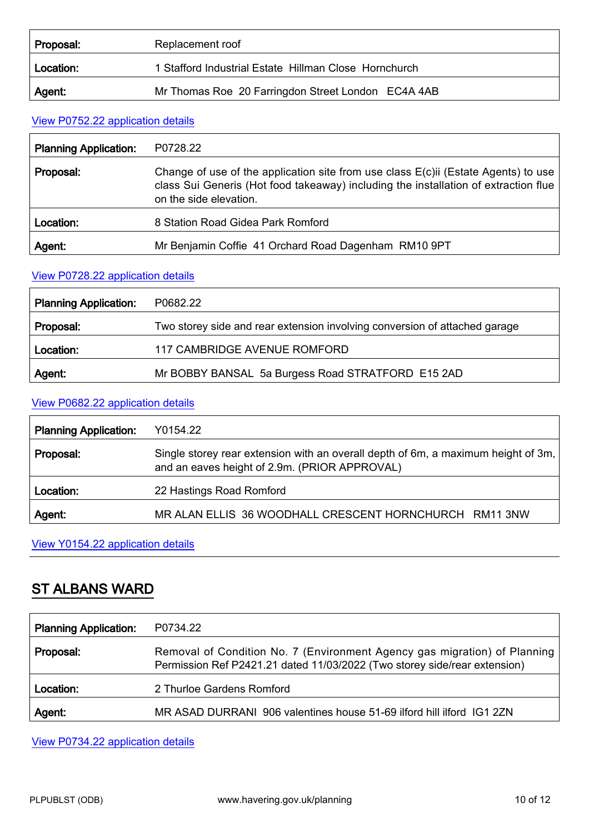| Proposal: | Replacement roof                                      |
|-----------|-------------------------------------------------------|
| Location: | 1 Stafford Industrial Estate Hillman Close Hornchurch |
| Agent:    | Mr Thomas Roe 20 Farringdon Street London EC4A 4AB    |

## View P0752.22 [application details](http://development.havering.gov.uk/OcellaWeb/planningDetails?reference=P0752.22&from=planningSearch)

| <b>Planning Application:</b> | P0728.22                                                                                                                                                                                               |
|------------------------------|--------------------------------------------------------------------------------------------------------------------------------------------------------------------------------------------------------|
| Proposal:                    | Change of use of the application site from use class $E(c)$ ii (Estate Agents) to use<br>class Sui Generis (Hot food takeaway) including the installation of extraction flue<br>on the side elevation. |
| Location:                    | 8 Station Road Gidea Park Romford                                                                                                                                                                      |
| Agent:                       | Mr Benjamin Coffie 41 Orchard Road Dagenham RM10 9PT                                                                                                                                                   |

#### View P0728.22 [application details](http://development.havering.gov.uk/OcellaWeb/planningDetails?reference=P0728.22&from=planningSearch)

| <b>Planning Application:</b> | P0682.22                                                                   |
|------------------------------|----------------------------------------------------------------------------|
| Proposal:                    | Two storey side and rear extension involving conversion of attached garage |
| Location:                    | 117 CAMBRIDGE AVENUE ROMFORD                                               |
| Agent:                       | Mr BOBBY BANSAL 5a Burgess Road STRATFORD E15 2AD                          |

#### View P0682.22 [application details](http://development.havering.gov.uk/OcellaWeb/planningDetails?reference=P0682.22&from=planningSearch)

| <b>Planning Application:</b> | Y0154.22                                                                                                                           |
|------------------------------|------------------------------------------------------------------------------------------------------------------------------------|
| Proposal:                    | Single storey rear extension with an overall depth of 6m, a maximum height of 3m,<br>and an eaves height of 2.9m. (PRIOR APPROVAL) |
| Location:                    | 22 Hastings Road Romford                                                                                                           |
| Agent:                       | MR ALAN ELLIS 36 WOODHALL CRESCENT HORNCHURCH RM11 3NW                                                                             |

View Y0154.22 [application details](http://development.havering.gov.uk/OcellaWeb/planningDetails?reference=Y0154.22&from=planningSearch)

# ST ALBANS WARD

| <b>Planning Application:</b> | P0734.22                                                                                                                                               |
|------------------------------|--------------------------------------------------------------------------------------------------------------------------------------------------------|
| Proposal:                    | Removal of Condition No. 7 (Environment Agency gas migration) of Planning<br>Permission Ref P2421.21 dated 11/03/2022 (Two storey side/rear extension) |
| Location:                    | 2 Thurloe Gardens Romford                                                                                                                              |
| Agent:                       | MR ASAD DURRANI 906 valentines house 51-69 ilford hill ilford IG1 2ZN                                                                                  |

View P0734.22 [application details](http://development.havering.gov.uk/OcellaWeb/planningDetails?reference=P0734.22&from=planningSearch)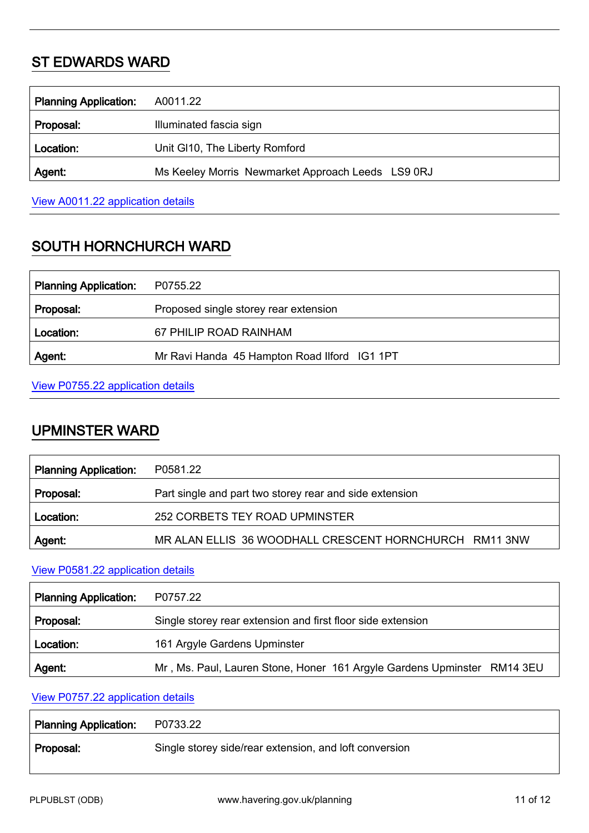# ST EDWARDS WARD

| <b>Planning Application:</b> | A0011.22                                          |
|------------------------------|---------------------------------------------------|
| Proposal:                    | Illuminated fascia sign                           |
| Location:                    | Unit GI10, The Liberty Romford                    |
| Agent:                       | Ms Keeley Morris Newmarket Approach Leeds LS9 0RJ |
|                              |                                                   |

View A0011.22 [application details](http://development.havering.gov.uk/OcellaWeb/planningDetails?reference=A0011.22&from=planningSearch)

# SOUTH HORNCHURCH WARD

| <b>Planning Application:</b> | P0755.22                                     |
|------------------------------|----------------------------------------------|
| Proposal:                    | Proposed single storey rear extension        |
| Location:                    | 67 PHILIP ROAD RAINHAM                       |
| Agent:                       | Mr Ravi Handa 45 Hampton Road Ilford IG1 1PT |

### View P0755.22 [application details](http://development.havering.gov.uk/OcellaWeb/planningDetails?reference=P0755.22&from=planningSearch)

## UPMINSTER WARD

| <b>Planning Application:</b> | P0581.22                                                |
|------------------------------|---------------------------------------------------------|
| Proposal:                    | Part single and part two storey rear and side extension |
| Location:                    | 252 CORBETS TEY ROAD UPMINSTER                          |
| Agent:                       | MR ALAN ELLIS 36 WOODHALL CRESCENT HORNCHURCH RM11 3NW  |

## View P0581.22 [application details](http://development.havering.gov.uk/OcellaWeb/planningDetails?reference=P0581.22&from=planningSearch)

| <b>Planning Application:</b> | P0757.22                                                                |
|------------------------------|-------------------------------------------------------------------------|
| Proposal:                    | Single storey rear extension and first floor side extension             |
| Location:                    | 161 Argyle Gardens Upminster                                            |
| Agent:                       | Mr, Ms. Paul, Lauren Stone, Honer 161 Argyle Gardens Upminster RM14 3EU |

### View P0757.22 [application details](http://development.havering.gov.uk/OcellaWeb/planningDetails?reference=P0757.22&from=planningSearch)

| <b>Planning Application:</b> | P0733.22                                               |
|------------------------------|--------------------------------------------------------|
| Proposal:                    | Single storey side/rear extension, and loft conversion |